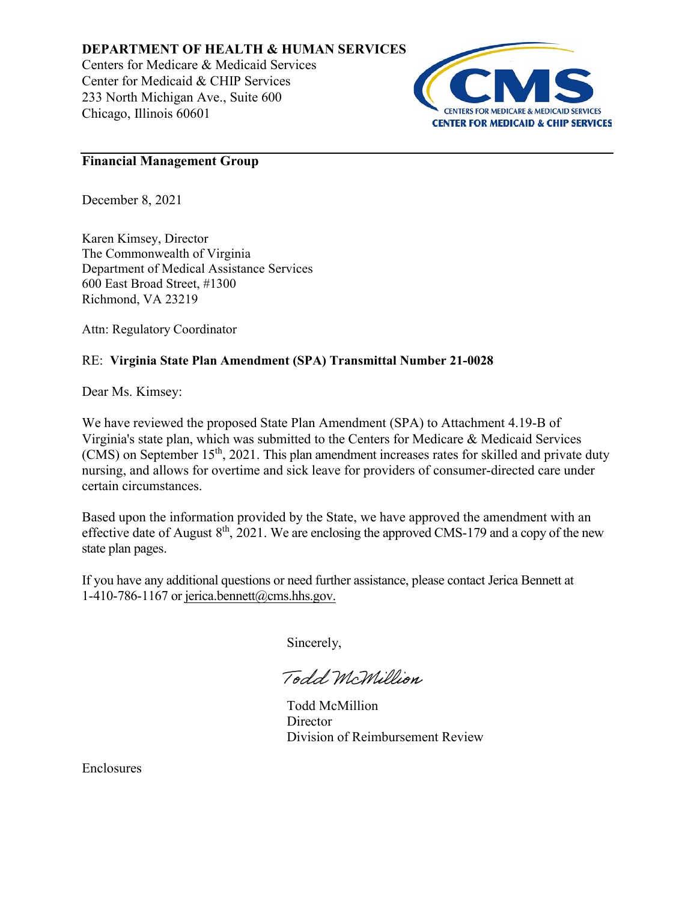## **DEPARTMENT OF HEALTH & HUMAN SERVICES**

Centers for Medicare & Medicaid Services Center for Medicaid & CHIP Services 233 North Michigan Ave., Suite 600 Chicago, Illinois 60601



### **Financial Management Group**

December 8, 2021

Karen Kimsey, Director The Commonwealth of Virginia Department of Medical Assistance Services 600 East Broad Street, #1300 Richmond, VA 23219

Attn: Regulatory Coordinator

# RE: **Virginia State Plan Amendment (SPA) Transmittal Number 21-0028**

Dear Ms. Kimsey:

We have reviewed the proposed State Plan Amendment (SPA) to Attachment 4.19-B of Virginia's state plan, which was submitted to the Centers for Medicare & Medicaid Services (CMS) on September 15<sup>th</sup>, 2021. This plan amendment increases rates for skilled and private duty nursing, and allows for overtime and sick leave for providers of consumer-directed care under certain circumstances.

Based upon the information provided by the State, we have approved the amendment with an effective date of August  $8<sup>th</sup>$ , 2021. We are enclosing the approved CMS-179 and a copy of the new state plan pages.

If you have any additional questions or need further assistance, please contact Jerica Bennett at 1-410-786-1167 or jerica.bennett@cms.hhs.gov.

Sincerely,

Todd McMillion

Todd McMillion **Director** Division of Reimbursement Review

Enclosures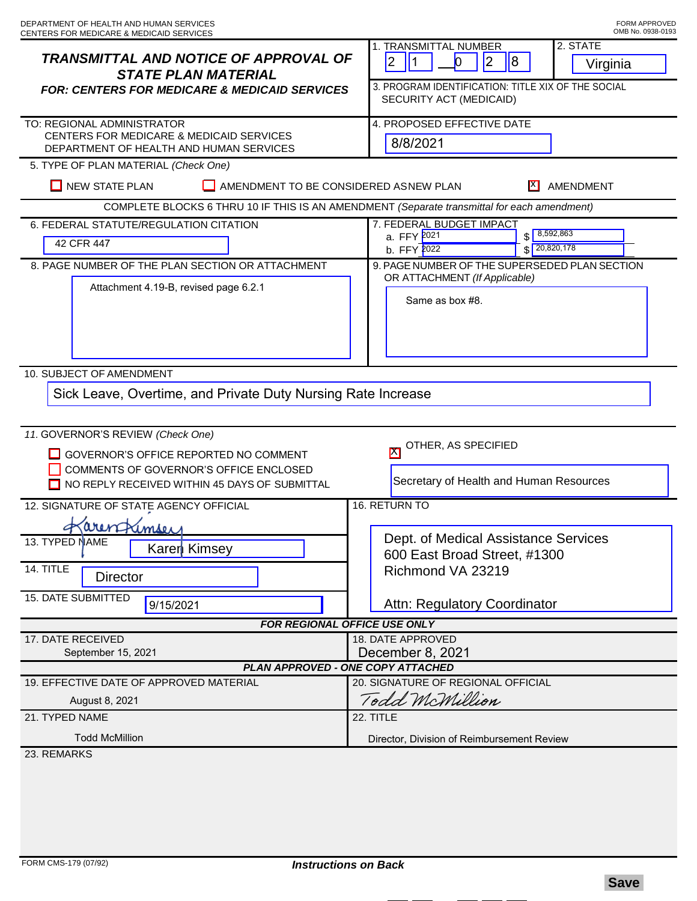| <b>TRANSMITTAL AND NOTICE OF APPROVAL OF</b><br><b>STATE PLAN MATERIAL</b><br><b>FOR: CENTERS FOR MEDICARE &amp; MEDICAID SERVICES</b> | 2. STATE<br>1. TRANSMITTAL NUMBER<br>$\overline{2}$<br>$\overline{8}$<br> 2 <br>11<br>$\bf{0}$<br>Virginia<br>3. PROGRAM IDENTIFICATION: TITLE XIX OF THE SOCIAL<br>SECURITY ACT (MEDICAID) |
|----------------------------------------------------------------------------------------------------------------------------------------|---------------------------------------------------------------------------------------------------------------------------------------------------------------------------------------------|
| TO: REGIONAL ADMINISTRATOR<br>CENTERS FOR MEDICARE & MEDICAID SERVICES<br>DEPARTMENT OF HEALTH AND HUMAN SERVICES                      | 4. PROPOSED EFFECTIVE DATE<br>8/8/2021                                                                                                                                                      |
| 5. TYPE OF PLAN MATERIAL (Check One)<br><b>NEW STATE PLAN</b><br>AMENDMENT TO BE CONSIDERED ASNEW PLAN<br>IX I<br>AMENDMENT            |                                                                                                                                                                                             |
| COMPLETE BLOCKS 6 THRU 10 IF THIS IS AN AMENDMENT (Separate transmittal for each amendment)                                            |                                                                                                                                                                                             |
| 6. FEDERAL STATUTE/REGULATION CITATION<br>42 CFR 447                                                                                   | 7. FEDERAL BUDGET IMPACT<br>8,592,863<br>a. FFY 2021<br>\$<br>20,820,178<br>b. FFY 2022                                                                                                     |
| 8. PAGE NUMBER OF THE PLAN SECTION OR ATTACHMENT<br>Attachment 4.19-B, revised page 6.2.1                                              | 9. PAGE NUMBER OF THE SUPERSEDED PLAN SECTION<br>OR ATTACHMENT (If Applicable)<br>Same as box #8.                                                                                           |
| 10. SUBJECT OF AMENDMENT<br>Sick Leave, Overtime, and Private Duty Nursing Rate Increase<br>11. GOVERNOR'S REVIEW (Check One)          |                                                                                                                                                                                             |
| GOVERNOR'S OFFICE REPORTED NO COMMENT<br>COMMENTS OF GOVERNOR'S OFFICE ENCLOSED<br>NO REPLY RECEIVED WITHIN 45 DAYS OF SUBMITTAL       | OTHER, AS SPECIFIED<br>$\mathbf{X}$<br>Secretary of Health and Human Resources                                                                                                              |
| 16. RETURN TO<br>12. SIGNATURE OF STATE AGENCY OFFICIAL                                                                                |                                                                                                                                                                                             |
| arentamser<br>13. TYPED NAME<br>Karer Kimsey<br>14. TITLE<br><b>Director</b><br><b>15. DATE SUBMITTED</b><br>9/15/2021                 | Dept. of Medical Assistance Services<br>600 East Broad Street, #1300<br>Richmond VA 23219<br>Attn: Regulatory Coordinator                                                                   |
| <b>FOR REGIONAL OFFICE USE ONLY</b>                                                                                                    |                                                                                                                                                                                             |
| 17. DATE RECEIVED<br>September 15, 2021<br>PLAN APPROVED - ONE COPY ATTACHED                                                           | <b>18. DATE APPROVED</b><br>December 8, 2021                                                                                                                                                |
| 19. EFFECTIVE DATE OF APPROVED MATERIAL                                                                                                | 20. SIGNATURE OF REGIONAL OFFICIAL                                                                                                                                                          |
| August 8, 2021                                                                                                                         | Todd McMillion                                                                                                                                                                              |
| 21. TYPED NAME                                                                                                                         | 22. TITLE                                                                                                                                                                                   |
| <b>Todd McMillion</b>                                                                                                                  | Director, Division of Reimbursement Review                                                                                                                                                  |
| 23. REMARKS                                                                                                                            |                                                                                                                                                                                             |